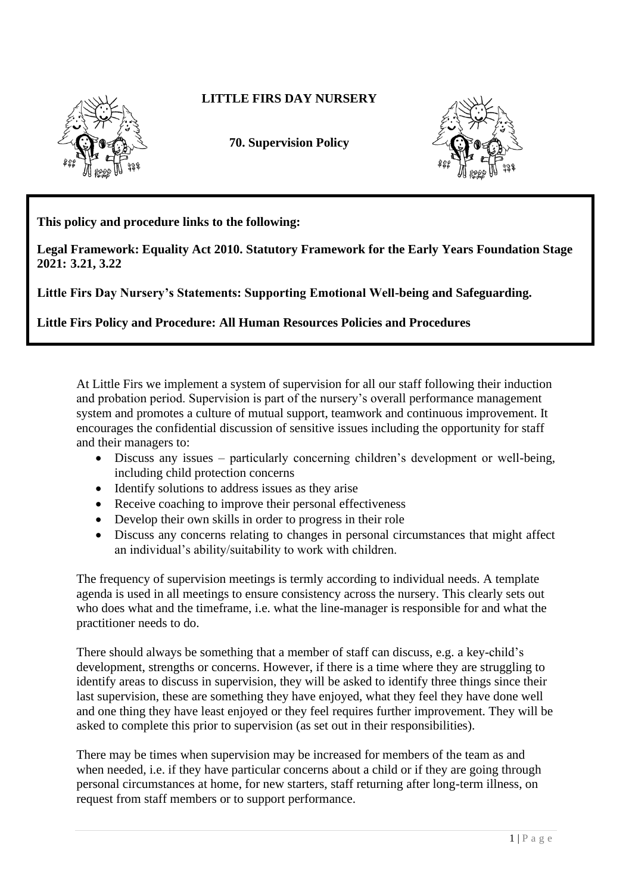

## **LITTLE FIRS DAY NURSERY**

**70. Supervision Policy**



**This policy and procedure links to the following:** 

**Legal Framework: Equality Act 2010. Statutory Framework for the Early Years Foundation Stage 2021: 3.21, 3.22**

**Little Firs Day Nursery's Statements: Supporting Emotional Well-being and Safeguarding.**

**Little Firs Policy and Procedure: All Human Resources Policies and Procedures**

At Little Firs we implement a system of supervision for all our staff following their induction and probation period. Supervision is part of the nursery's overall performance management system and promotes a culture of mutual support, teamwork and continuous improvement. It encourages the confidential discussion of sensitive issues including the opportunity for staff and their managers to:

- Discuss any issues particularly concerning children's development or well-being, including child protection concerns
- Identify solutions to address issues as they arise
- Receive coaching to improve their personal effectiveness
- Develop their own skills in order to progress in their role
- Discuss any concerns relating to changes in personal circumstances that might affect an individual's ability/suitability to work with children.

The frequency of supervision meetings is termly according to individual needs. A template agenda is used in all meetings to ensure consistency across the nursery. This clearly sets out who does what and the timeframe, i.e. what the line-manager is responsible for and what the practitioner needs to do.

There should always be something that a member of staff can discuss, e.g. a key-child's development, strengths or concerns. However, if there is a time where they are struggling to identify areas to discuss in supervision, they will be asked to identify three things since their last supervision, these are something they have enjoyed, what they feel they have done well and one thing they have least enjoyed or they feel requires further improvement. They will be asked to complete this prior to supervision (as set out in their responsibilities).

There may be times when supervision may be increased for members of the team as and when needed, i.e. if they have particular concerns about a child or if they are going through personal circumstances at home, for new starters, staff returning after long-term illness, on request from staff members or to support performance.